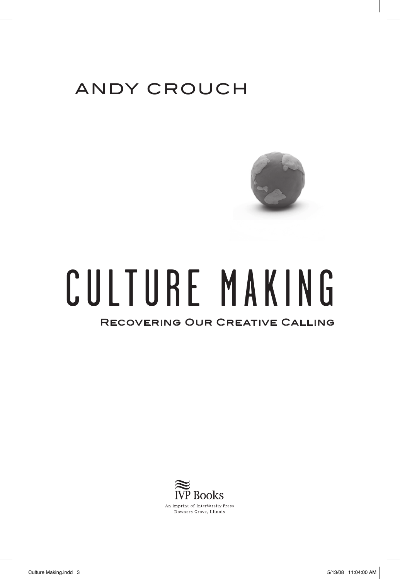# ANDY CROUCH



# CULTURE MAKING

## Recovering Our Creative Calling

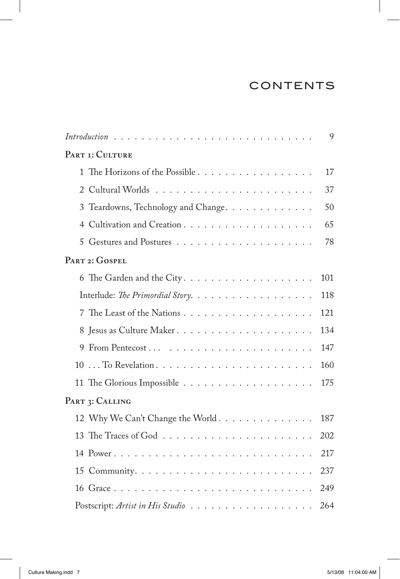# **CONTENTS**

|                                     | 9   |
|-------------------------------------|-----|
| PART I: CULTURE                     |     |
| 1 The Horizons of the Possible      | 17  |
|                                     | 37  |
| 3 Teardowns, Technology and Change. | 50  |
|                                     | 65  |
|                                     | 78  |
| PART 2: GOSPEL                      |     |
|                                     | 101 |
| Interlude: The Primordial Story.    | 118 |
|                                     | 121 |
| 8 Jesus as Culture Maker            | 134 |
| 9.                                  | 147 |
|                                     | 160 |
|                                     | 175 |
| PART 3: CALLING                     |     |
| 12 Why We Can't Change the World    | 187 |
|                                     | 202 |
|                                     | 217 |
|                                     | 237 |
|                                     | 249 |
|                                     | 264 |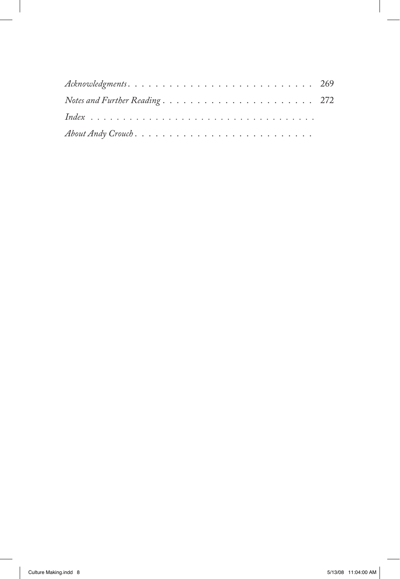| Notes and Further Reading 272 |  |
|-------------------------------|--|
|                               |  |
|                               |  |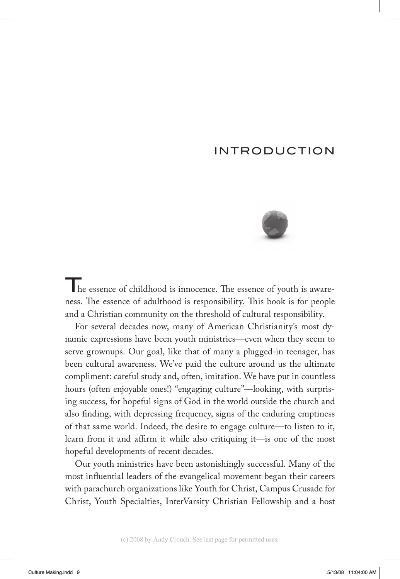### INTRODUCTION



In essence of childhood is innocence. The essence of youth is awareness. The essence of adulthood is responsibility. This book is for people and a Christian community on the threshold of cultural responsibility.

For several decades now, many of American Christianity's most dynamic expressions have been youth ministries—even when they seem to serve grownups. Our goal, like that of many a plugged-in teenager, has been cultural awareness. We've paid the culture around us the ultimate compliment: careful study and, often, imitation. We have put in countless hours (often enjoyable ones!) "engaging culture"—looking, with surprising success, for hopeful signs of God in the world outside the church and also finding, with depressing frequency, signs of the enduring emptiness of that same world. Indeed, the desire to engage culture—to listen to it, learn from it and affirm it while also critiquing it—is one of the most hopeful developments of recent decades.

Our youth ministries have been astonishingly successful. Many of the most influential leaders of the evangelical movement began their careers with parachurch organizations like Youth for Christ, Campus Crusade for Christ, Youth Specialties, InterVarsity Christian Fellowship and a host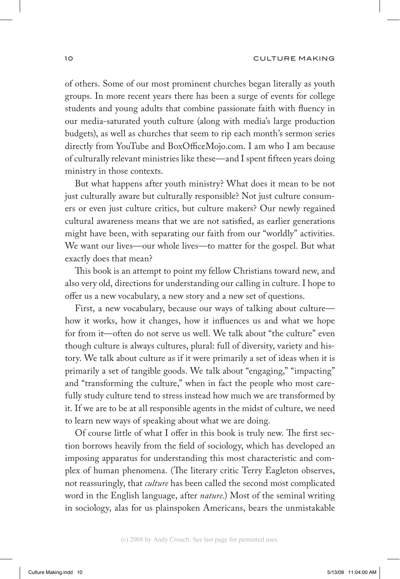of others. Some of our most prominent churches began literally as youth groups. In more recent years there has been a surge of events for college students and young adults that combine passionate faith with fluency in our media-saturated youth culture (along with media's large production budgets), as well as churches that seem to rip each month's sermon series directly from YouTube and BoxOfficeMojo.com. I am who I am because of culturally relevant ministries like these—and I spent fifteen years doing ministry in those contexts.

But what happens after youth ministry? What does it mean to be not just culturally aware but culturally responsible? Not just culture consumers or even just culture critics, but culture makers? Our newly regained cultural awareness means that we are not satisfied, as earlier generations might have been, with separating our faith from our "worldly" activities. We want our lives—our whole lives—to matter for the gospel. But what exactly does that mean?

This book is an attempt to point my fellow Christians toward new, and also very old, directions for understanding our calling in culture. I hope to offer us a new vocabulary, a new story and a new set of questions.

First, a new vocabulary, because our ways of talking about culture how it works, how it changes, how it influences us and what we hope for from it—often do not serve us well. We talk about "the culture" even though culture is always cultures, plural: full of diversity, variety and history. We talk about culture as if it were primarily a set of ideas when it is primarily a set of tangible goods. We talk about "engaging," "impacting" and "transforming the culture," when in fact the people who most carefully study culture tend to stress instead how much we are transformed by it. If we are to be at all responsible agents in the midst of culture, we need to learn new ways of speaking about what we are doing.

Of course little of what I offer in this book is truly new. The first section borrows heavily from the field of sociology, which has developed an imposing apparatus for understanding this most characteristic and complex of human phenomena. (The literary critic Terry Eagleton observes, not reassuringly, that *culture* has been called the second most complicated word in the English language, after *nature*.) Most of the seminal writing in sociology, alas for us plainspoken Americans, bears the unmistakable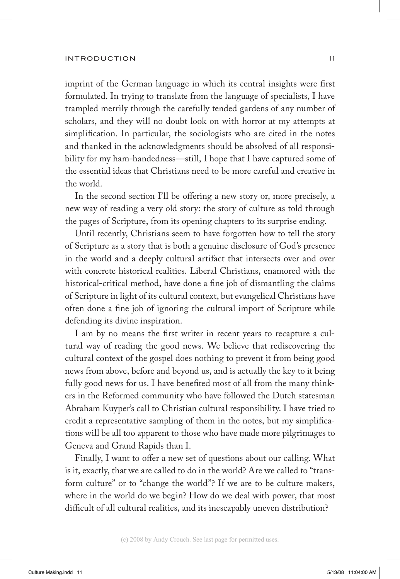imprint of the German language in which its central insights were first formulated. In trying to translate from the language of specialists, I have trampled merrily through the carefully tended gardens of any number of scholars, and they will no doubt look on with horror at my attempts at simplification. In particular, the sociologists who are cited in the notes and thanked in the acknowledgments should be absolved of all responsibility for my ham-handedness—still, I hope that I have captured some of the essential ideas that Christians need to be more careful and creative in the world.

In the second section I'll be offering a new story or, more precisely, a new way of reading a very old story: the story of culture as told through the pages of Scripture, from its opening chapters to its surprise ending.

Until recently, Christians seem to have forgotten how to tell the story of Scripture as a story that is both a genuine disclosure of God's presence in the world and a deeply cultural artifact that intersects over and over with concrete historical realities. Liberal Christians, enamored with the historical-critical method, have done a fine job of dismantling the claims of Scripture in light of its cultural context, but evangelical Christians have often done a fine job of ignoring the cultural import of Scripture while defending its divine inspiration.

I am by no means the first writer in recent years to recapture a cultural way of reading the good news. We believe that rediscovering the cultural context of the gospel does nothing to prevent it from being good news from above, before and beyond us, and is actually the key to it being fully good news for us. I have benefited most of all from the many thinkers in the Reformed community who have followed the Dutch statesman Abraham Kuyper's call to Christian cultural responsibility. I have tried to credit a representative sampling of them in the notes, but my simplifications will be all too apparent to those who have made more pilgrimages to Geneva and Grand Rapids than I.

Finally, I want to offer a new set of questions about our calling. What is it, exactly, that we are called to do in the world? Are we called to "transform culture" or to "change the world"? If we are to be culture makers, where in the world do we begin? How do we deal with power, that most difficult of all cultural realities, and its inescapably uneven distribution?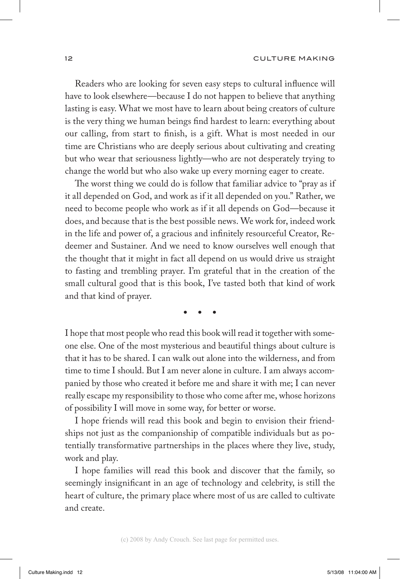Readers who are looking for seven easy steps to cultural influence will have to look elsewhere—because I do not happen to believe that anything lasting is easy. What we most have to learn about being creators of culture is the very thing we human beings find hardest to learn: everything about our calling, from start to finish, is a gift. What is most needed in our time are Christians who are deeply serious about cultivating and creating but who wear that seriousness lightly—who are not desperately trying to change the world but who also wake up every morning eager to create.

The worst thing we could do is follow that familiar advice to "pray as if it all depended on God, and work as if it all depended on you." Rather, we need to become people who work as if it all depends on God—because it does, and because that is the best possible news. We work for, indeed work in the life and power of, a gracious and infinitely resourceful Creator, Redeemer and Sustainer. And we need to know ourselves well enough that the thought that it might in fact all depend on us would drive us straight to fasting and trembling prayer. I'm grateful that in the creation of the small cultural good that is this book, I've tasted both that kind of work and that kind of prayer.

**t t t t** 

I hope that most people who read this book will read it together with someone else. One of the most mysterious and beautiful things about culture is that it has to be shared. I can walk out alone into the wilderness, and from time to time I should. But I am never alone in culture. I am always accompanied by those who created it before me and share it with me; I can never really escape my responsibility to those who come after me, whose horizons of possibility I will move in some way, for better or worse.

I hope friends will read this book and begin to envision their friendships not just as the companionship of compatible individuals but as potentially transformative partnerships in the places where they live, study, work and play.

I hope families will read this book and discover that the family, so seemingly insignificant in an age of technology and celebrity, is still the heart of culture, the primary place where most of us are called to cultivate and create.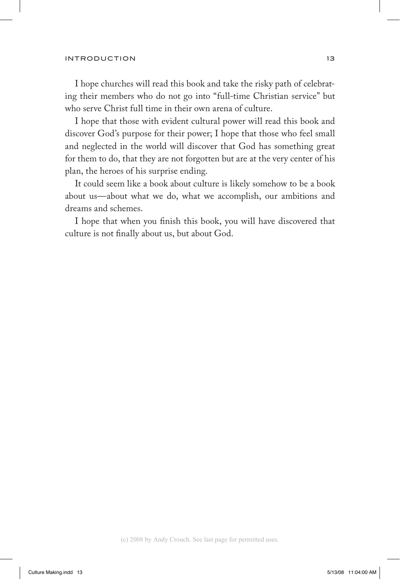I hope churches will read this book and take the risky path of celebrating their members who do not go into "full-time Christian service" but who serve Christ full time in their own arena of culture.

I hope that those with evident cultural power will read this book and discover God's purpose for their power; I hope that those who feel small and neglected in the world will discover that God has something great for them to do, that they are not forgotten but are at the very center of his plan, the heroes of his surprise ending.

It could seem like a book about culture is likely somehow to be a book about us—about what we do, what we accomplish, our ambitions and dreams and schemes.

I hope that when you finish this book, you will have discovered that culture is not finally about us, but about God.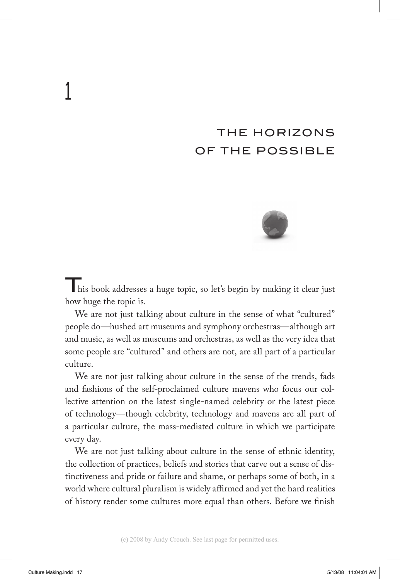# THE HORIZONS OF THE POSSIBLE



This book addresses a huge topic, so let's begin by making it clear just how huge the topic is.

We are not just talking about culture in the sense of what "cultured" people do—hushed art museums and symphony orchestras—although art and music, as well as museums and orchestras, as well as the very idea that some people are "cultured" and others are not, are all part of a particular culture.

We are not just talking about culture in the sense of the trends, fads and fashions of the self-proclaimed culture mavens who focus our collective attention on the latest single-named celebrity or the latest piece of technology—though celebrity, technology and mavens are all part of a particular culture, the mass-mediated culture in which we participate every day.

We are not just talking about culture in the sense of ethnic identity, the collection of practices, beliefs and stories that carve out a sense of distinctiveness and pride or failure and shame, or perhaps some of both, in a world where cultural pluralism is widely affirmed and yet the hard realities of history render some cultures more equal than others. Before we finish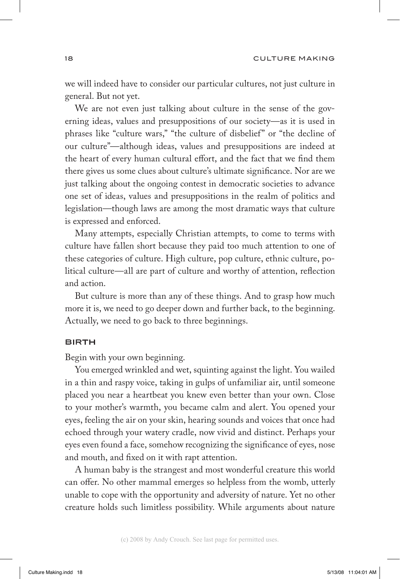we will indeed have to consider our particular cultures, not just culture in general. But not yet.

We are not even just talking about culture in the sense of the governing ideas, values and presuppositions of our society—as it is used in phrases like "culture wars," "the culture of disbelief" or "the decline of our culture"—although ideas, values and presuppositions are indeed at the heart of every human cultural effort, and the fact that we find them there gives us some clues about culture's ultimate significance. Nor are we just talking about the ongoing contest in democratic societies to advance one set of ideas, values and presuppositions in the realm of politics and legislation—though laws are among the most dramatic ways that culture is expressed and enforced.

Many attempts, especially Christian attempts, to come to terms with culture have fallen short because they paid too much attention to one of these categories of culture. High culture, pop culture, ethnic culture, political culture—all are part of culture and worthy of attention, reflection and action.

But culture is more than any of these things. And to grasp how much more it is, we need to go deeper down and further back, to the beginning. Actually, we need to go back to three beginnings.

#### BIRTH

Begin with your own beginning.

You emerged wrinkled and wet, squinting against the light. You wailed in a thin and raspy voice, taking in gulps of unfamiliar air, until someone placed you near a heartbeat you knew even better than your own. Close to your mother's warmth, you became calm and alert. You opened your eyes, feeling the air on your skin, hearing sounds and voices that once had echoed through your watery cradle, now vivid and distinct. Perhaps your eyes even found a face, somehow recognizing the significance of eyes, nose and mouth, and fixed on it with rapt attention.

A human baby is the strangest and most wonderful creature this world can offer. No other mammal emerges so helpless from the womb, utterly unable to cope with the opportunity and adversity of nature. Yet no other creature holds such limitless possibility. While arguments about nature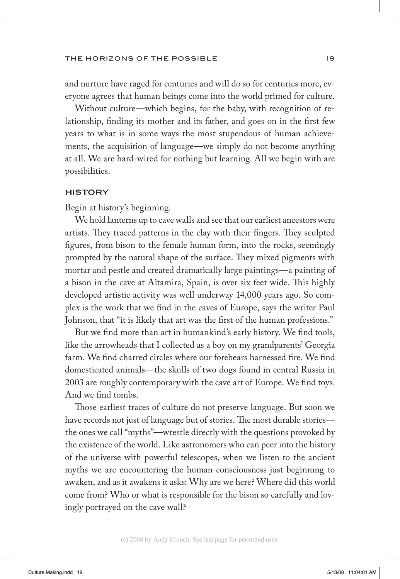and nurture have raged for centuries and will do so for centuries more, everyone agrees that human beings come into the world primed for culture.

Without culture—which begins, for the baby, with recognition of relationship, finding its mother and its father, and goes on in the first few years to what is in some ways the most stupendous of human achievements, the acquisition of language—we simply do not become anything at all. We are hard-wired for nothing but learning. All we begin with are possibilities.

#### **HISTORY**

Begin at history's beginning.

We hold lanterns up to cave walls and see that our earliest ancestors were artists. They traced patterns in the clay with their fingers. They sculpted figures, from bison to the female human form, into the rocks, seemingly prompted by the natural shape of the surface. They mixed pigments with mortar and pestle and created dramatically large paintings—a painting of a bison in the cave at Altamira, Spain, is over six feet wide. This highly developed artistic activity was well underway 14,000 years ago. So complex is the work that we find in the caves of Europe, says the writer Paul Johnson, that "it is likely that art was the first of the human professions."

But we find more than art in humankind's early history. We find tools, like the arrowheads that I collected as a boy on my grandparents' Georgia farm. We find charred circles where our forebears harnessed fire. We find domesticated animals—the skulls of two dogs found in central Russia in 2003 are roughly contemporary with the cave art of Europe. We find toys. And we find tombs.

Those earliest traces of culture do not preserve language. But soon we have records not just of language but of stories. The most durable stories the ones we call "myths"—wrestle directly with the questions provoked by the existence of the world. Like astronomers who can peer into the history of the universe with powerful telescopes, when we listen to the ancient myths we are encountering the human consciousness just beginning to awaken, and as it awakens it asks: Why are we here? Where did this world come from? Who or what is responsible for the bison so carefully and lovingly portrayed on the cave wall?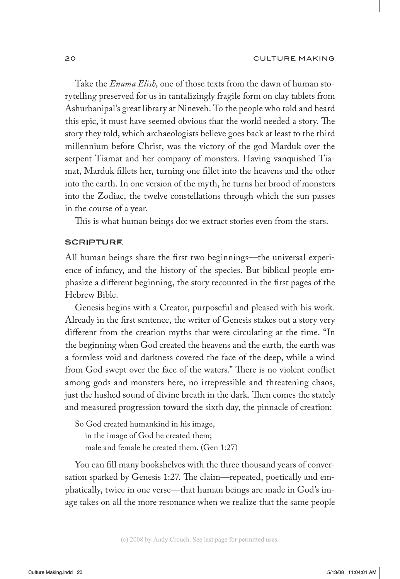Take the *Enuma Elish*, one of those texts from the dawn of human storytelling preserved for us in tantalizingly fragile form on clay tablets from Ashurbanipal's great library at Nineveh. To the people who told and heard this epic, it must have seemed obvious that the world needed a story. The story they told, which archaeologists believe goes back at least to the third millennium before Christ, was the victory of the god Marduk over the serpent Tiamat and her company of monsters. Having vanquished Tiamat, Marduk fillets her, turning one fillet into the heavens and the other into the earth. In one version of the myth, he turns her brood of monsters into the Zodiac, the twelve constellations through which the sun passes in the course of a year.

This is what human beings do: we extract stories even from the stars.

#### **SCRIPTURE**

All human beings share the first two beginnings—the universal experience of infancy, and the history of the species. But biblical people emphasize a different beginning, the story recounted in the first pages of the Hebrew Bible.

Genesis begins with a Creator, purposeful and pleased with his work. Already in the first sentence, the writer of Genesis stakes out a story very different from the creation myths that were circulating at the time. "In the beginning when God created the heavens and the earth, the earth was a formless void and darkness covered the face of the deep, while a wind from God swept over the face of the waters." There is no violent conflict among gods and monsters here, no irrepressible and threatening chaos, just the hushed sound of divine breath in the dark. Then comes the stately and measured progression toward the sixth day, the pinnacle of creation:

So God created humankind in his image, in the image of God he created them; male and female he created them. (Gen 1:27)

You can fill many bookshelves with the three thousand years of conversation sparked by Genesis 1:27. The claim—repeated, poetically and emphatically, twice in one verse—that human beings are made in God's image takes on all the more resonance when we realize that the same people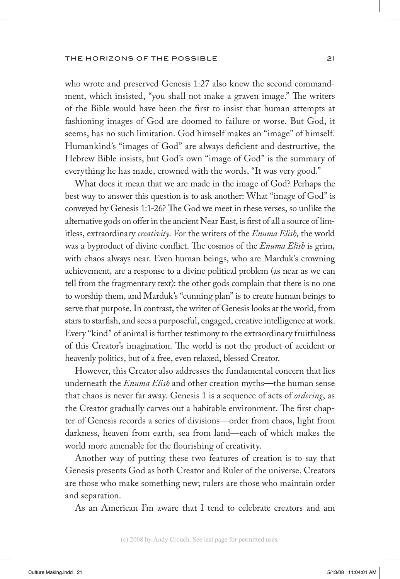who wrote and preserved Genesis 1:27 also knew the second commandment, which insisted, "you shall not make a graven image." The writers of the Bible would have been the first to insist that human attempts at fashioning images of God are doomed to failure or worse. But God, it seems, has no such limitation. God himself makes an "image" of himself. Humankind's "images of God" are always deficient and destructive, the Hebrew Bible insists, but God's own "image of God" is the summary of everything he has made, crowned with the words, "It was very good."

What does it mean that we are made in the image of God? Perhaps the best way to answer this question is to ask another: What "image of God" is conveyed by Genesis 1:1-26? The God we meet in these verses, so unlike the alternative gods on offer in the ancient Near East, is first of all a source of limitless, extraordinary *creativity*. For the writers of the *Enuma Elish*, the world was a byproduct of divine conflict. The cosmos of the *Enuma Elish* is grim, with chaos always near. Even human beings, who are Marduk's crowning achievement, are a response to a divine political problem (as near as we can tell from the fragmentary text): the other gods complain that there is no one to worship them, and Marduk's "cunning plan" is to create human beings to serve that purpose. In contrast, the writer of Genesis looks at the world, from stars to starfish, and sees a purposeful, engaged, creative intelligence at work. Every "kind" of animal is further testimony to the extraordinary fruitfulness of this Creator's imagination. The world is not the product of accident or heavenly politics, but of a free, even relaxed, blessed Creator.

However, this Creator also addresses the fundamental concern that lies underneath the *Enuma Elish* and other creation myths—the human sense that chaos is never far away. Genesis 1 is a sequence of acts of *ordering*, as the Creator gradually carves out a habitable environment. The first chapter of Genesis records a series of divisions—order from chaos, light from darkness, heaven from earth, sea from land—each of which makes the world more amenable for the flourishing of creativity.

Another way of putting these two features of creation is to say that Genesis presents God as both Creator and Ruler of the universe. Creators are those who make something new; rulers are those who maintain order and separation.

As an American I'm aware that I tend to celebrate creators and am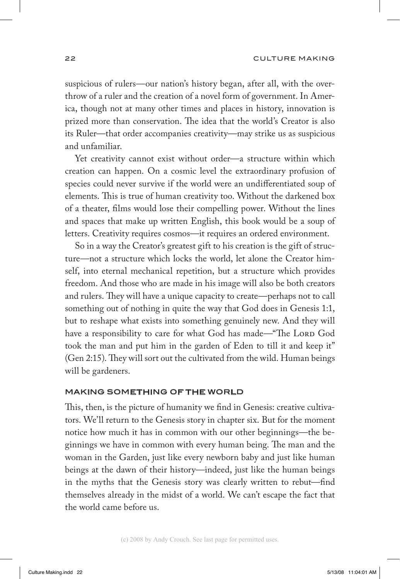suspicious of rulers—our nation's history began, after all, with the overthrow of a ruler and the creation of a novel form of government. In America, though not at many other times and places in history, innovation is prized more than conservation. The idea that the world's Creator is also its Ruler—that order accompanies creativity—may strike us as suspicious and unfamiliar.

Yet creativity cannot exist without order—a structure within which creation can happen. On a cosmic level the extraordinary profusion of species could never survive if the world were an undifferentiated soup of elements. This is true of human creativity too. Without the darkened box of a theater, films would lose their compelling power. Without the lines and spaces that make up written English, this book would be a soup of letters. Creativity requires cosmos—it requires an ordered environment.

So in a way the Creator's greatest gift to his creation is the gift of structure—not a structure which locks the world, let alone the Creator himself, into eternal mechanical repetition, but a structure which provides freedom. And those who are made in his image will also be both creators and rulers. They will have a unique capacity to create—perhaps not to call something out of nothing in quite the way that God does in Genesis 1:1, but to reshape what exists into something genuinely new. And they will have a responsibility to care for what God has made—"The LORD God took the man and put him in the garden of Eden to till it and keep it" (Gen 2:15). They will sort out the cultivated from the wild. Human beings will be gardeners.

#### MAKING SOMETHING OF THE WORLD

This, then, is the picture of humanity we find in Genesis: creative cultivators. We'll return to the Genesis story in chapter six. But for the moment notice how much it has in common with our other beginnings—the beginnings we have in common with every human being. The man and the woman in the Garden, just like every newborn baby and just like human beings at the dawn of their history—indeed, just like the human beings in the myths that the Genesis story was clearly written to rebut—find themselves already in the midst of a world. We can't escape the fact that the world came before us.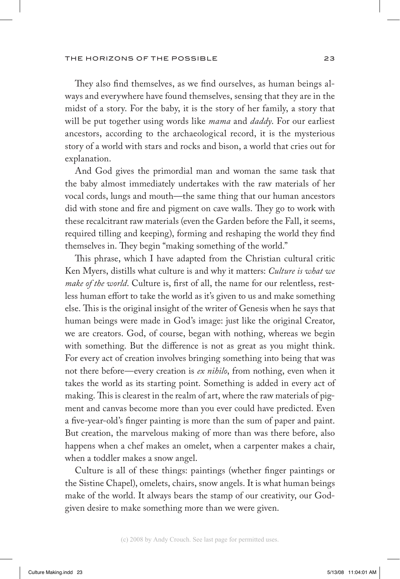They also find themselves, as we find ourselves, as human beings always and everywhere have found themselves, sensing that they are in the midst of a story. For the baby, it is the story of her family, a story that will be put together using words like *mama* and *daddy*. For our earliest ancestors, according to the archaeological record, it is the mysterious story of a world with stars and rocks and bison, a world that cries out for explanation.

And God gives the primordial man and woman the same task that the baby almost immediately undertakes with the raw materials of her vocal cords, lungs and mouth—the same thing that our human ancestors did with stone and fire and pigment on cave walls. They go to work with these recalcitrant raw materials (even the Garden before the Fall, it seems, required tilling and keeping), forming and reshaping the world they find themselves in. They begin "making something of the world."

This phrase, which I have adapted from the Christian cultural critic Ken Myers, distills what culture is and why it matters: *Culture is what we make of the world*. Culture is, first of all, the name for our relentless, restless human effort to take the world as it's given to us and make something else. This is the original insight of the writer of Genesis when he says that human beings were made in God's image: just like the original Creator, we are creators. God, of course, began with nothing, whereas we begin with something. But the difference is not as great as you might think. For every act of creation involves bringing something into being that was not there before—every creation is *ex nihilo*, from nothing, even when it takes the world as its starting point. Something is added in every act of making. This is clearest in the realm of art, where the raw materials of pigment and canvas become more than you ever could have predicted. Even a five-year-old's finger painting is more than the sum of paper and paint. But creation, the marvelous making of more than was there before, also happens when a chef makes an omelet, when a carpenter makes a chair, when a toddler makes a snow angel.

Culture is all of these things: paintings (whether finger paintings or the Sistine Chapel), omelets, chairs, snow angels. It is what human beings make of the world. It always bears the stamp of our creativity, our Godgiven desire to make something more than we were given.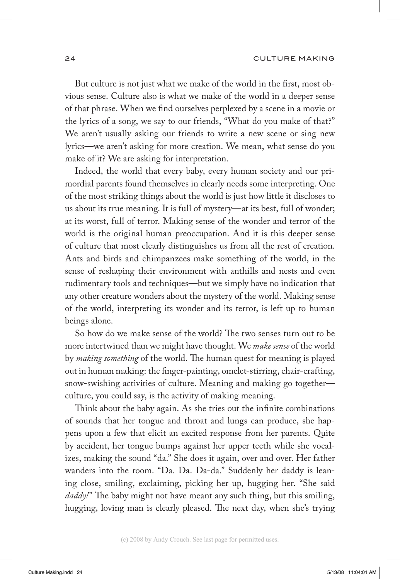But culture is not just what we make of the world in the first, most obvious sense. Culture also is what we make of the world in a deeper sense of that phrase. When we find ourselves perplexed by a scene in a movie or the lyrics of a song, we say to our friends, "What do you make of that?" We aren't usually asking our friends to write a new scene or sing new lyrics—we aren't asking for more creation. We mean, what sense do you make of it? We are asking for interpretation.

Indeed, the world that every baby, every human society and our primordial parents found themselves in clearly needs some interpreting. One of the most striking things about the world is just how little it discloses to us about its true meaning. It is full of mystery—at its best, full of wonder; at its worst, full of terror. Making sense of the wonder and terror of the world is the original human preoccupation. And it is this deeper sense of culture that most clearly distinguishes us from all the rest of creation. Ants and birds and chimpanzees make something of the world, in the sense of reshaping their environment with anthills and nests and even rudimentary tools and techniques—but we simply have no indication that any other creature wonders about the mystery of the world. Making sense of the world, interpreting its wonder and its terror, is left up to human beings alone.

So how do we make sense of the world? The two senses turn out to be more intertwined than we might have thought. We *make sense* of the world by *making something* of the world. The human quest for meaning is played out in human making: the finger-painting, omelet-stirring, chair-crafting, snow-swishing activities of culture. Meaning and making go together culture, you could say, is the activity of making meaning.

Think about the baby again. As she tries out the infinite combinations of sounds that her tongue and throat and lungs can produce, she happens upon a few that elicit an excited response from her parents. Quite by accident, her tongue bumps against her upper teeth while she vocalizes, making the sound "da." She does it again, over and over. Her father wanders into the room. "Da. Da. Da-da." Suddenly her daddy is leaning close, smiling, exclaiming, picking her up, hugging her. "She said *daddy!*" The baby might not have meant any such thing, but this smiling, hugging, loving man is clearly pleased. The next day, when she's trying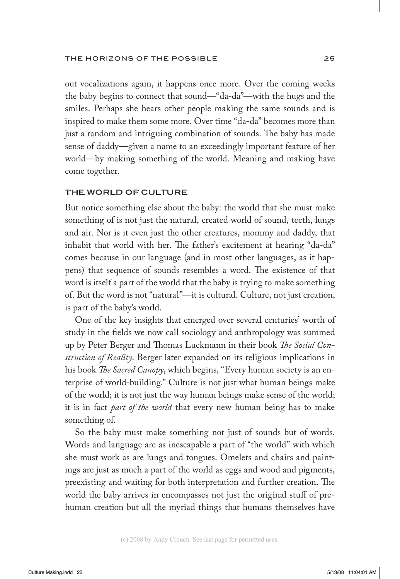out vocalizations again, it happens once more. Over the coming weeks the baby begins to connect that sound—"da-da"—with the hugs and the smiles. Perhaps she hears other people making the same sounds and is inspired to make them some more. Over time "da-da" becomes more than just a random and intriguing combination of sounds. The baby has made sense of daddy—given a name to an exceedingly important feature of her world—by making something of the world. Meaning and making have come together.

#### THE WORLD OF CULTURE

But notice something else about the baby: the world that she must make something of is not just the natural, created world of sound, teeth, lungs and air. Nor is it even just the other creatures, mommy and daddy, that inhabit that world with her. The father's excitement at hearing "da-da" comes because in our language (and in most other languages, as it happens) that sequence of sounds resembles a word. The existence of that word is itself a part of the world that the baby is trying to make something of. But the word is not "natural"—it is cultural. Culture, not just creation, is part of the baby's world.

One of the key insights that emerged over several centuries' worth of study in the fields we now call sociology and anthropology was summed up by Peter Berger and Thomas Luckmann in their book *The Social Construction of Reality*. Berger later expanded on its religious implications in his book *The Sacred Canopy*, which begins, "Every human society is an enterprise of world-building." Culture is not just what human beings make of the world; it is not just the way human beings make sense of the world; it is in fact *part of the world* that every new human being has to make something of.

So the baby must make something not just of sounds but of words. Words and language are as inescapable a part of "the world" with which she must work as are lungs and tongues. Omelets and chairs and paintings are just as much a part of the world as eggs and wood and pigments, preexisting and waiting for both interpretation and further creation. The world the baby arrives in encompasses not just the original stuff of prehuman creation but all the myriad things that humans themselves have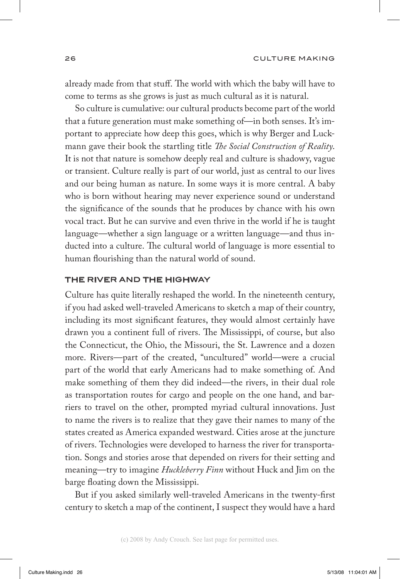already made from that stuff. The world with which the baby will have to come to terms as she grows is just as much cultural as it is natural.

So culture is cumulative: our cultural products become part of the world that a future generation must make something of—in both senses. It's important to appreciate how deep this goes, which is why Berger and Luckmann gave their book the startling title *The Social Construction of Reality*. It is not that nature is somehow deeply real and culture is shadowy, vague or transient. Culture really is part of our world, just as central to our lives and our being human as nature. In some ways it is more central. A baby who is born without hearing may never experience sound or understand the significance of the sounds that he produces by chance with his own vocal tract. But he can survive and even thrive in the world if he is taught language—whether a sign language or a written language—and thus inducted into a culture. The cultural world of language is more essential to human flourishing than the natural world of sound.

#### THE RIVER AND THE HIGHWAY

Culture has quite literally reshaped the world. In the nineteenth century, if you had asked well-traveled Americans to sketch a map of their country, including its most significant features, they would almost certainly have drawn you a continent full of rivers. The Mississippi, of course, but also the Connecticut, the Ohio, the Missouri, the St. Lawrence and a dozen more. Rivers—part of the created, "uncultured" world—were a crucial part of the world that early Americans had to make something of. And make something of them they did indeed—the rivers, in their dual role as transportation routes for cargo and people on the one hand, and barriers to travel on the other, prompted myriad cultural innovations. Just to name the rivers is to realize that they gave their names to many of the states created as America expanded westward. Cities arose at the juncture of rivers. Technologies were developed to harness the river for transportation. Songs and stories arose that depended on rivers for their setting and meaning—try to imagine *Huckleberry Finn* without Huck and Jim on the barge floating down the Mississippi.

But if you asked similarly well-traveled Americans in the twenty-first century to sketch a map of the continent, I suspect they would have a hard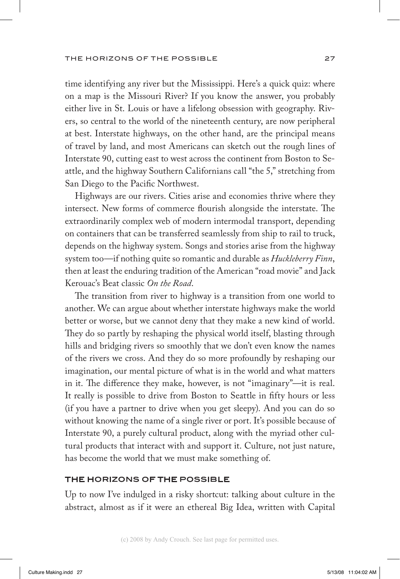time identifying any river but the Mississippi. Here's a quick quiz: where on a map is the Missouri River? If you know the answer, you probably either live in St. Louis or have a lifelong obsession with geography. Rivers, so central to the world of the nineteenth century, are now peripheral at best. Interstate highways, on the other hand, are the principal means of travel by land, and most Americans can sketch out the rough lines of Interstate 90, cutting east to west across the continent from Boston to Seattle, and the highway Southern Californians call "the 5," stretching from San Diego to the Pacific Northwest.

Highways are our rivers. Cities arise and economies thrive where they intersect. New forms of commerce flourish alongside the interstate. The extraordinarily complex web of modern intermodal transport, depending on containers that can be transferred seamlessly from ship to rail to truck, depends on the highway system. Songs and stories arise from the highway system too—if nothing quite so romantic and durable as *Huckleberry Finn*, then at least the enduring tradition of the American "road movie" and Jack Kerouac's Beat classic *On the Road*.

The transition from river to highway is a transition from one world to another. We can argue about whether interstate highways make the world better or worse, but we cannot deny that they make a new kind of world. They do so partly by reshaping the physical world itself, blasting through hills and bridging rivers so smoothly that we don't even know the names of the rivers we cross. And they do so more profoundly by reshaping our imagination, our mental picture of what is in the world and what matters in it. The difference they make, however, is not "imaginary"—it is real. It really is possible to drive from Boston to Seattle in fifty hours or less (if you have a partner to drive when you get sleepy). And you can do so without knowing the name of a single river or port. It's possible because of Interstate 90, a purely cultural product, along with the myriad other cultural products that interact with and support it. Culture, not just nature, has become the world that we must make something of.

#### THE HORIZONS OF THE POSSIBLE

Up to now I've indulged in a risky shortcut: talking about culture in the abstract, almost as if it were an ethereal Big Idea, written with Capital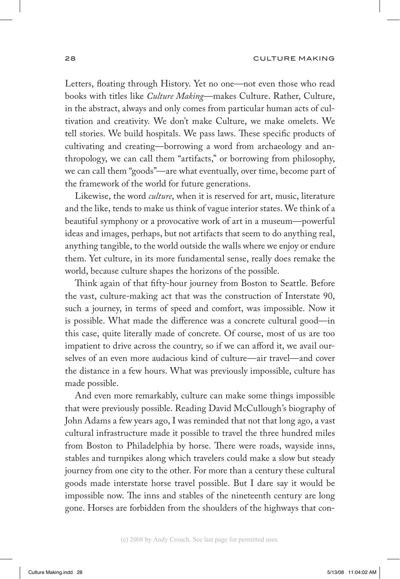Letters, floating through History. Yet no one—not even those who read books with titles like *Culture Making*—makes Culture. Rather, Culture, in the abstract, always and only comes from particular human acts of cultivation and creativity. We don't make Culture, we make omelets. We tell stories. We build hospitals. We pass laws. These specific products of cultivating and creating—borrowing a word from archaeology and anthropology, we can call them "artifacts," or borrowing from philosophy, we can call them "goods"—are what eventually, over time, become part of the framework of the world for future generations.

Likewise, the word *culture*, when it is reserved for art, music, literature and the like, tends to make us think of vague interior states. We think of a beautiful symphony or a provocative work of art in a museum—powerful ideas and images, perhaps, but not artifacts that seem to do anything real, anything tangible, to the world outside the walls where we enjoy or endure them. Yet culture, in its more fundamental sense, really does remake the world, because culture shapes the horizons of the possible.

Think again of that fifty-hour journey from Boston to Seattle. Before the vast, culture-making act that was the construction of Interstate 90, such a journey, in terms of speed and comfort, was impossible. Now it is possible. What made the difference was a concrete cultural good—in this case, quite literally made of concrete. Of course, most of us are too impatient to drive across the country, so if we can afford it, we avail ourselves of an even more audacious kind of culture—air travel—and cover the distance in a few hours. What was previously impossible, culture has made possible.

And even more remarkably, culture can make some things impossible that were previously possible. Reading David McCullough's biography of John Adams a few years ago, I was reminded that not that long ago, a vast cultural infrastructure made it possible to travel the three hundred miles from Boston to Philadelphia by horse. There were roads, wayside inns, stables and turnpikes along which travelers could make a slow but steady journey from one city to the other. For more than a century these cultural goods made interstate horse travel possible. But I dare say it would be impossible now. The inns and stables of the nineteenth century are long gone. Horses are forbidden from the shoulders of the highways that con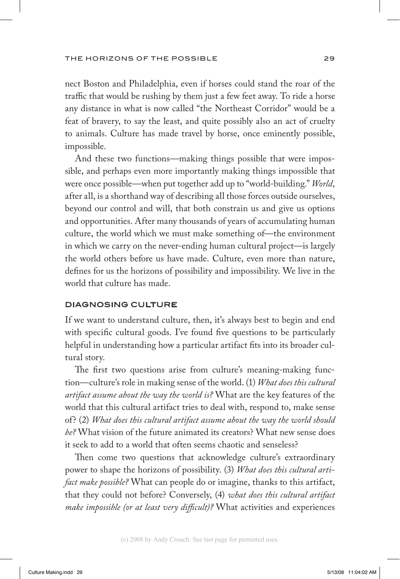nect Boston and Philadelphia, even if horses could stand the roar of the traffic that would be rushing by them just a few feet away. To ride a horse any distance in what is now called "the Northeast Corridor" would be a feat of bravery, to say the least, and quite possibly also an act of cruelty to animals. Culture has made travel by horse, once eminently possible, impossible.

And these two functions—making things possible that were impossible, and perhaps even more importantly making things impossible that were once possible—when put together add up to "world-building." *World*, after all, is a shorthand way of describing all those forces outside ourselves, beyond our control and will, that both constrain us and give us options and opportunities. After many thousands of years of accumulating human culture, the world which we must make something of—the environment in which we carry on the never-ending human cultural project—is largely the world others before us have made. Culture, even more than nature, defines for us the horizons of possibility and impossibility. We live in the world that culture has made.

#### DIAGNOSING CULTURE

If we want to understand culture, then, it's always best to begin and end with specific cultural goods. I've found five questions to be particularly helpful in understanding how a particular artifact fits into its broader cultural story.

The first two questions arise from culture's meaning-making function—culture's role in making sense of the world. (1) *What does this cultural artifact assume about the way the world is?* What are the key features of the world that this cultural artifact tries to deal with, respond to, make sense of? (2) *What does this cultural artifact assume about the way the world should be?* What vision of the future animated its creators? What new sense does it seek to add to a world that often seems chaotic and senseless?

Then come two questions that acknowledge culture's extraordinary power to shape the horizons of possibility. (3) *What does this cultural artifact make possible?* What can people do or imagine, thanks to this artifact, that they could not before? Conversely, (4) *what does this cultural artifact make impossible (or at least very difficult)?* What activities and experiences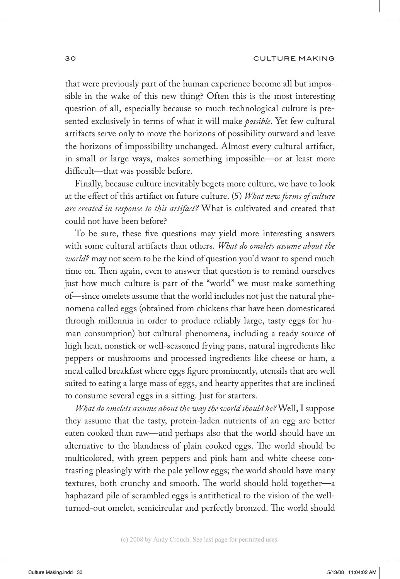that were previously part of the human experience become all but impossible in the wake of this new thing? Often this is the most interesting question of all, especially because so much technological culture is presented exclusively in terms of what it will make *possible*. Yet few cultural artifacts serve only to move the horizons of possibility outward and leave the horizons of impossibility unchanged. Almost every cultural artifact, in small or large ways, makes something impossible—or at least more difficult—that was possible before.

Finally, because culture inevitably begets more culture, we have to look at the effect of this artifact on future culture. (5) *What new forms of culture are created in response to this artifact?* What is cultivated and created that could not have been before?

To be sure, these five questions may yield more interesting answers with some cultural artifacts than others. *What do omelets assume about the world?* may not seem to be the kind of question you'd want to spend much time on. Then again, even to answer that question is to remind ourselves just how much culture is part of the "world" we must make something of—since omelets assume that the world includes not just the natural phenomena called eggs (obtained from chickens that have been domesticated through millennia in order to produce reliably large, tasty eggs for human consumption) but cultural phenomena, including a ready source of high heat, nonstick or well-seasoned frying pans, natural ingredients like peppers or mushrooms and processed ingredients like cheese or ham, a meal called breakfast where eggs figure prominently, utensils that are well suited to eating a large mass of eggs, and hearty appetites that are inclined to consume several eggs in a sitting. Just for starters.

*What do omelets assume about the way the world should be?* Well, I suppose they assume that the tasty, protein-laden nutrients of an egg are better eaten cooked than raw—and perhaps also that the world should have an alternative to the blandness of plain cooked eggs. The world should be multicolored, with green peppers and pink ham and white cheese contrasting pleasingly with the pale yellow eggs; the world should have many textures, both crunchy and smooth. The world should hold together—a haphazard pile of scrambled eggs is antithetical to the vision of the wellturned-out omelet, semicircular and perfectly bronzed. The world should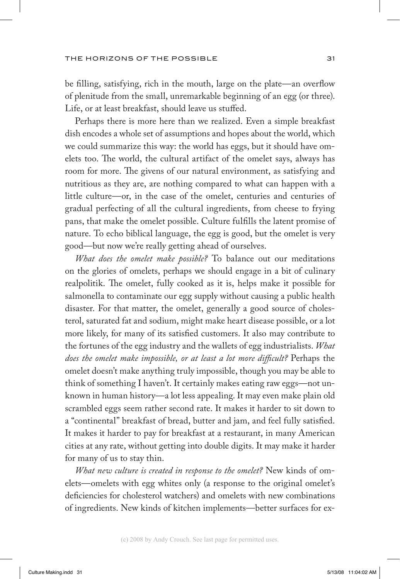be filling, satisfying, rich in the mouth, large on the plate—an overflow of plenitude from the small, unremarkable beginning of an egg (or three). Life, or at least breakfast, should leave us stuffed.

Perhaps there is more here than we realized. Even a simple breakfast dish encodes a whole set of assumptions and hopes about the world, which we could summarize this way: the world has eggs, but it should have omelets too. The world, the cultural artifact of the omelet says, always has room for more. The givens of our natural environment, as satisfying and nutritious as they are, are nothing compared to what can happen with a little culture—or, in the case of the omelet, centuries and centuries of gradual perfecting of all the cultural ingredients, from cheese to frying pans, that make the omelet possible. Culture fulfills the latent promise of nature. To echo biblical language, the egg is good, but the omelet is very good—but now we're really getting ahead of ourselves.

*What does the omelet make possible?* To balance out our meditations on the glories of omelets, perhaps we should engage in a bit of culinary realpolitik. The omelet, fully cooked as it is, helps make it possible for salmonella to contaminate our egg supply without causing a public health disaster. For that matter, the omelet, generally a good source of cholesterol, saturated fat and sodium, might make heart disease possible, or a lot more likely, for many of its satisfied customers. It also may contribute to the fortunes of the egg industry and the wallets of egg industrialists. *What does the omelet make impossible, or at least a lot more difficult?* Perhaps the omelet doesn't make anything truly impossible, though you may be able to think of something I haven't. It certainly makes eating raw eggs—not unknown in human history—a lot less appealing. It may even make plain old scrambled eggs seem rather second rate. It makes it harder to sit down to a "continental" breakfast of bread, butter and jam, and feel fully satisfied. It makes it harder to pay for breakfast at a restaurant, in many American cities at any rate, without getting into double digits. It may make it harder for many of us to stay thin.

*What new culture is created in response to the omelet?* New kinds of omelets—omelets with egg whites only (a response to the original omelet's deficiencies for cholesterol watchers) and omelets with new combinations of ingredients. New kinds of kitchen implements—better surfaces for ex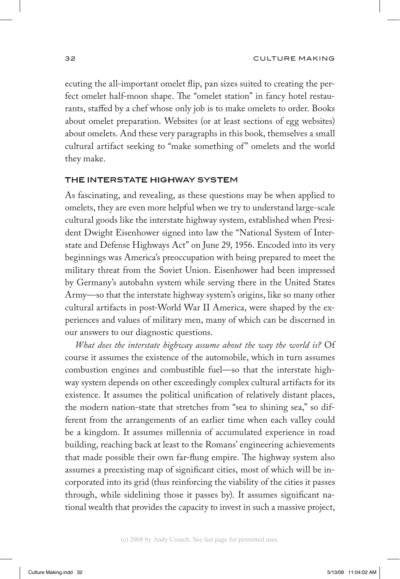ecuting the all-important omelet flip, pan sizes suited to creating the perfect omelet half-moon shape. The "omelet station" in fancy hotel restaurants, staffed by a chef whose only job is to make omelets to order. Books about omelet preparation. Websites (or at least sections of egg websites) about omelets. And these very paragraphs in this book, themselves a small cultural artifact seeking to "make something of" omelets and the world they make.

#### THE INTERSTATE HIGHWAY SYSTEM

As fascinating, and revealing, as these questions may be when applied to omelets, they are even more helpful when we try to understand large-scale cultural goods like the interstate highway system, established when President Dwight Eisenhower signed into law the "National System of Interstate and Defense Highways Act" on June 29, 1956. Encoded into its very beginnings was America's preoccupation with being prepared to meet the military threat from the Soviet Union. Eisenhower had been impressed by Germany's autobahn system while serving there in the United States Army—so that the interstate highway system's origins, like so many other cultural artifacts in post-World War II America, were shaped by the experiences and values of military men, many of which can be discerned in our answers to our diagnostic questions.

*What does the interstate highway assume about the way the world is?* Of course it assumes the existence of the automobile, which in turn assumes combustion engines and combustible fuel—so that the interstate highway system depends on other exceedingly complex cultural artifacts for its existence. It assumes the political unification of relatively distant places, the modern nation-state that stretches from "sea to shining sea," so different from the arrangements of an earlier time when each valley could be a kingdom. It assumes millennia of accumulated experience in road building, reaching back at least to the Romans' engineering achievements that made possible their own far-flung empire. The highway system also assumes a preexisting map of significant cities, most of which will be incorporated into its grid (thus reinforcing the viability of the cities it passes through, while sidelining those it passes by). It assumes significant national wealth that provides the capacity to invest in such a massive project,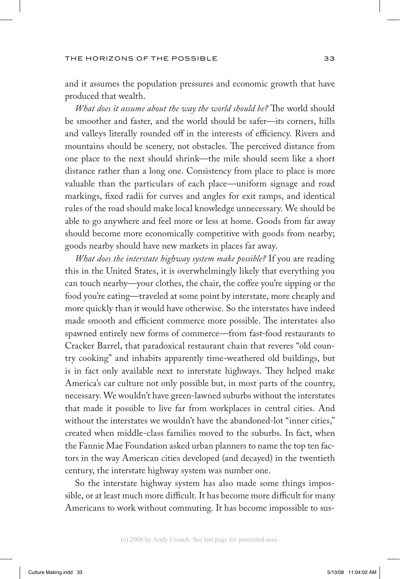and it assumes the population pressures and economic growth that have produced that wealth.

*What does it assume about the way the world should be?* The world should be smoother and faster, and the world should be safer—its corners, hills and valleys literally rounded off in the interests of efficiency. Rivers and mountains should be scenery, not obstacles. The perceived distance from one place to the next should shrink—the mile should seem like a short distance rather than a long one. Consistency from place to place is more valuable than the particulars of each place—uniform signage and road markings, fixed radii for curves and angles for exit ramps, and identical rules of the road should make local knowledge unnecessary. We should be able to go anywhere and feel more or less at home. Goods from far away should become more economically competitive with goods from nearby; goods nearby should have new markets in places far away.

*What does the interstate highway system make possible?* If you are reading this in the United States, it is overwhelmingly likely that everything you can touch nearby—your clothes, the chair, the coffee you're sipping or the food you're eating—traveled at some point by interstate, more cheaply and more quickly than it would have otherwise. So the interstates have indeed made smooth and efficient commerce more possible. The interstates also spawned entirely new forms of commerce—from fast-food restaurants to Cracker Barrel, that paradoxical restaurant chain that reveres "old country cooking" and inhabits apparently time-weathered old buildings, but is in fact only available next to interstate highways. They helped make America's car culture not only possible but, in most parts of the country, necessary. We wouldn't have green-lawned suburbs without the interstates that made it possible to live far from workplaces in central cities. And without the interstates we wouldn't have the abandoned-lot "inner cities," created when middle-class families moved to the suburbs. In fact, when the Fannie Mae Foundation asked urban planners to name the top ten factors in the way American cities developed (and decayed) in the twentieth century, the interstate highway system was number one.

So the interstate highway system has also made some things impossible, or at least much more difficult. It has become more difficult for many Americans to work without commuting. It has become impossible to sus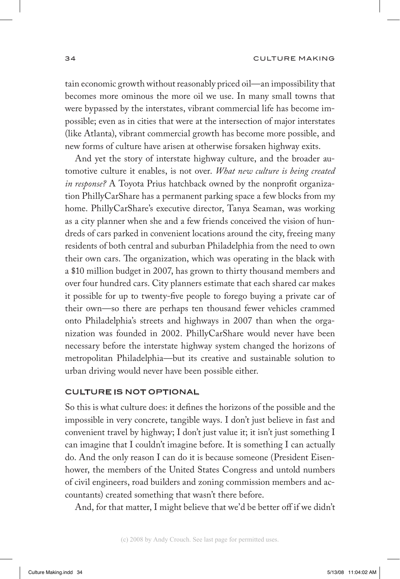tain economic growth without reasonably priced oil—an impossibility that becomes more ominous the more oil we use. In many small towns that were bypassed by the interstates, vibrant commercial life has become impossible; even as in cities that were at the intersection of major interstates (like Atlanta), vibrant commercial growth has become more possible, and new forms of culture have arisen at otherwise forsaken highway exits.

And yet the story of interstate highway culture, and the broader automotive culture it enables, is not over. *What new culture is being created in response?* A Toyota Prius hatchback owned by the nonprofit organization PhillyCarShare has a permanent parking space a few blocks from my home. PhillyCarShare's executive director, Tanya Seaman, was working as a city planner when she and a few friends conceived the vision of hundreds of cars parked in convenient locations around the city, freeing many residents of both central and suburban Philadelphia from the need to own their own cars. The organization, which was operating in the black with a \$10 million budget in 2007, has grown to thirty thousand members and over four hundred cars. City planners estimate that each shared car makes it possible for up to twenty-five people to forego buying a private car of their own—so there are perhaps ten thousand fewer vehicles crammed onto Philadelphia's streets and highways in 2007 than when the organization was founded in 2002. PhillyCarShare would never have been necessary before the interstate highway system changed the horizons of metropolitan Philadelphia—but its creative and sustainable solution to urban driving would never have been possible either.

#### CULTURE IS NOT OPTIONAL

So this is what culture does: it defines the horizons of the possible and the impossible in very concrete, tangible ways. I don't just believe in fast and convenient travel by highway; I don't just value it; it isn't just something I can imagine that I couldn't imagine before. It is something I can actually do. And the only reason I can do it is because someone (President Eisenhower, the members of the United States Congress and untold numbers of civil engineers, road builders and zoning commission members and accountants) created something that wasn't there before.

And, for that matter, I might believe that we'd be better off if we didn't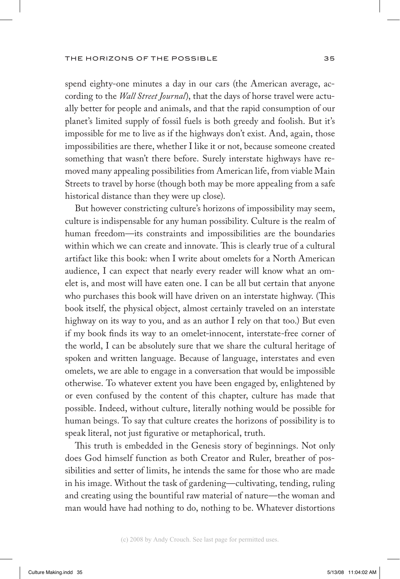spend eighty-one minutes a day in our cars (the American average, according to the *Wall Street Journal*), that the days of horse travel were actually better for people and animals, and that the rapid consumption of our planet's limited supply of fossil fuels is both greedy and foolish. But it's impossible for me to live as if the highways don't exist. And, again, those impossibilities are there, whether I like it or not, because someone created something that wasn't there before. Surely interstate highways have removed many appealing possibilities from American life, from viable Main Streets to travel by horse (though both may be more appealing from a safe historical distance than they were up close).

But however constricting culture's horizons of impossibility may seem, culture is indispensable for any human possibility. Culture is the realm of human freedom—its constraints and impossibilities are the boundaries within which we can create and innovate. This is clearly true of a cultural artifact like this book: when I write about omelets for a North American audience, I can expect that nearly every reader will know what an omelet is, and most will have eaten one. I can be all but certain that anyone who purchases this book will have driven on an interstate highway. (This book itself, the physical object, almost certainly traveled on an interstate highway on its way to you, and as an author I rely on that too.) But even if my book finds its way to an omelet-innocent, interstate-free corner of the world, I can be absolutely sure that we share the cultural heritage of spoken and written language. Because of language, interstates and even omelets, we are able to engage in a conversation that would be impossible otherwise. To whatever extent you have been engaged by, enlightened by or even confused by the content of this chapter, culture has made that possible. Indeed, without culture, literally nothing would be possible for human beings. To say that culture creates the horizons of possibility is to speak literal, not just figurative or metaphorical, truth.

This truth is embedded in the Genesis story of beginnings. Not only does God himself function as both Creator and Ruler, breather of possibilities and setter of limits, he intends the same for those who are made in his image. Without the task of gardening—cultivating, tending, ruling and creating using the bountiful raw material of nature—the woman and man would have had nothing to do, nothing to be. Whatever distortions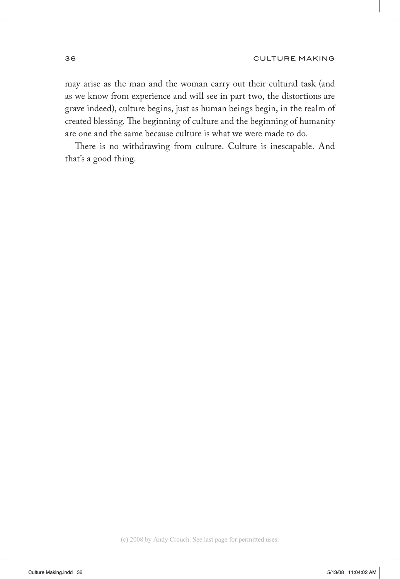may arise as the man and the woman carry out their cultural task (and as we know from experience and will see in part two, the distortions are grave indeed), culture begins, just as human beings begin, in the realm of created blessing. The beginning of culture and the beginning of humanity are one and the same because culture is what we were made to do.

There is no withdrawing from culture. Culture is inescapable. And that's a good thing.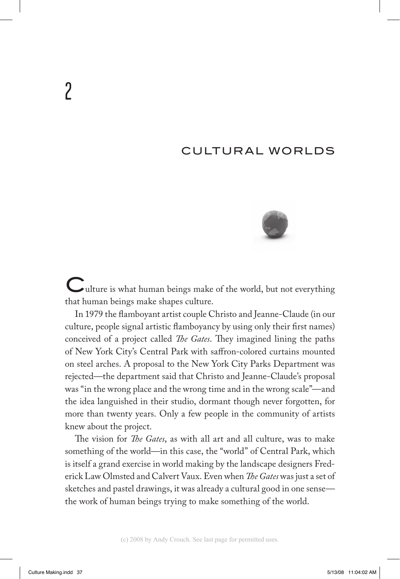# CULTURAL WORLDS



Culture is what human beings make of the world, but not everything that human beings make shapes culture.

In 1979 the flamboyant artist couple Christo and Jeanne-Claude (in our culture, people signal artistic flamboyancy by using only their first names) conceived of a project called *The Gates*. They imagined lining the paths of New York City's Central Park with saffron-colored curtains mounted on steel arches. A proposal to the New York City Parks Department was rejected—the department said that Christo and Jeanne-Claude's proposal was "in the wrong place and the wrong time and in the wrong scale"—and the idea languished in their studio, dormant though never forgotten, for more than twenty years. Only a few people in the community of artists knew about the project.

The vision for *The Gates*, as with all art and all culture, was to make something of the world—in this case, the "world" of Central Park, which is itself a grand exercise in world making by the landscape designers Frederick Law Olmsted and Calvert Vaux. Even when *The Gates* was just a set of sketches and pastel drawings, it was already a cultural good in one sense the work of human beings trying to make something of the world.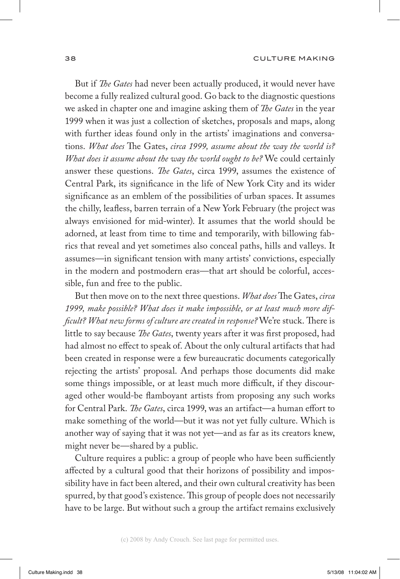But if *The Gates* had never been actually produced, it would never have become a fully realized cultural good. Go back to the diagnostic questions we asked in chapter one and imagine asking them of *The Gates* in the year 1999 when it was just a collection of sketches, proposals and maps, along with further ideas found only in the artists' imaginations and conversations. What does The Gates, circa 1999, assume about the way the world is? *What does it assume about the way the world ought to be?* We could certainly answer these questions. *The Gates*, circa 1999, assumes the existence of Central Park, its significance in the life of New York City and its wider significance as an emblem of the possibilities of urban spaces. It assumes the chilly, leafless, barren terrain of a New York February (the project was always envisioned for mid-winter). It assumes that the world should be adorned, at least from time to time and temporarily, with billowing fabrics that reveal and yet sometimes also conceal paths, hills and valleys. It assumes—in significant tension with many artists' convictions, especially in the modern and postmodern eras—that art should be colorful, accessible, fun and free to the public.

But then move on to the next three questions. What does The Gates, circa *1999, make possible? What does it make impossible, or at least much more difficult? What new forms of culture are created in response?* We're stuck. There is little to say because *The Gates*, twenty years after it was first proposed, had had almost no effect to speak of. About the only cultural artifacts that had been created in response were a few bureaucratic documents categorically rejecting the artists' proposal. And perhaps those documents did make some things impossible, or at least much more difficult, if they discouraged other would-be flamboyant artists from proposing any such works for Central Park. *The Gates*, circa 1999, was an artifact—a human effort to make something of the world—but it was not yet fully culture. Which is another way of saying that it was not yet—and as far as its creators knew, might never be—shared by a public.

Culture requires a public: a group of people who have been sufficiently affected by a cultural good that their horizons of possibility and impossibility have in fact been altered, and their own cultural creativity has been spurred, by that good's existence. This group of people does not necessarily have to be large. But without such a group the artifact remains exclusively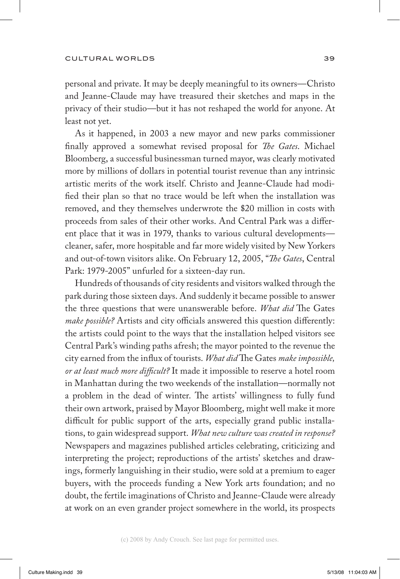personal and private. It may be deeply meaningful to its owners—Christo and Jeanne-Claude may have treasured their sketches and maps in the privacy of their studio—but it has not reshaped the world for anyone. At least not yet.

As it happened, in 2003 a new mayor and new parks commissioner finally approved a somewhat revised proposal for *The Gates*. Michael Bloomberg, a successful businessman turned mayor, was clearly motivated more by millions of dollars in potential tourist revenue than any intrinsic artistic merits of the work itself. Christo and Jeanne-Claude had modified their plan so that no trace would be left when the installation was removed, and they themselves underwrote the \$20 million in costs with proceeds from sales of their other works. And Central Park was a different place that it was in 1979, thanks to various cultural developments cleaner, safer, more hospitable and far more widely visited by New Yorkers and out-of-town visitors alike. On February 12, 2005, "*The Gates*, Central Park: 1979-2005" unfurled for a sixteen-day run.

Hundreds of thousands of city residents and visitors walked through the park during those sixteen days. And suddenly it became possible to answer the three questions that were unanswerable before. What did The Gates *make possible?* Artists and city officials answered this question differently: the artists could point to the ways that the installation helped visitors see Central Park's winding paths afresh; the mayor pointed to the revenue the city earned from the influx of tourists. *What did* The Gates make impossible, *or at least much more difficult?* It made it impossible to reserve a hotel room in Manhattan during the two weekends of the installation—normally not a problem in the dead of winter. The artists' willingness to fully fund their own artwork, praised by Mayor Bloomberg, might well make it more difficult for public support of the arts, especially grand public installations, to gain widespread support. *What new culture was created in response?*  Newspapers and magazines published articles celebrating, criticizing and interpreting the project; reproductions of the artists' sketches and drawings, formerly languishing in their studio, were sold at a premium to eager buyers, with the proceeds funding a New York arts foundation; and no doubt, the fertile imaginations of Christo and Jeanne-Claude were already at work on an even grander project somewhere in the world, its prospects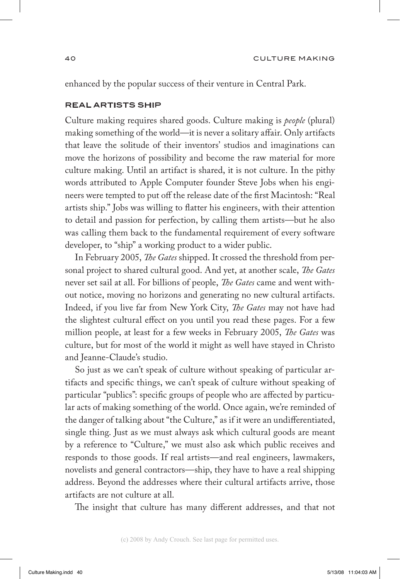enhanced by the popular success of their venture in Central Park.

#### REAL ARTISTS SHIP

Culture making requires shared goods. Culture making is *people* (plural) making something of the world—it is never a solitary affair. Only artifacts that leave the solitude of their inventors' studios and imaginations can move the horizons of possibility and become the raw material for more culture making. Until an artifact is shared, it is not culture. In the pithy words attributed to Apple Computer founder Steve Jobs when his engineers were tempted to put off the release date of the first Macintosh: "Real artists ship." Jobs was willing to flatter his engineers, with their attention to detail and passion for perfection, by calling them artists—but he also was calling them back to the fundamental requirement of every software developer, to "ship" a working product to a wider public.

In February 2005, *The Gates* shipped. It crossed the threshold from personal project to shared cultural good. And yet, at another scale, *The Gates* never set sail at all. For billions of people, *The Gates* came and went without notice, moving no horizons and generating no new cultural artifacts. Indeed, if you live far from New York City, *The Gates* may not have had the slightest cultural effect on you until you read these pages. For a few million people, at least for a few weeks in February 2005, *The Gates* was culture, but for most of the world it might as well have stayed in Christo and Jeanne-Claude's studio.

So just as we can't speak of culture without speaking of particular artifacts and specific things, we can't speak of culture without speaking of particular "publics": specific groups of people who are affected by particular acts of making something of the world. Once again, we're reminded of the danger of talking about "the Culture," as if it were an undifferentiated, single thing. Just as we must always ask which cultural goods are meant by a reference to "Culture," we must also ask which public receives and responds to those goods. If real artists—and real engineers, lawmakers, novelists and general contractors—ship, they have to have a real shipping address. Beyond the addresses where their cultural artifacts arrive, those artifacts are not culture at all.

The insight that culture has many different addresses, and that not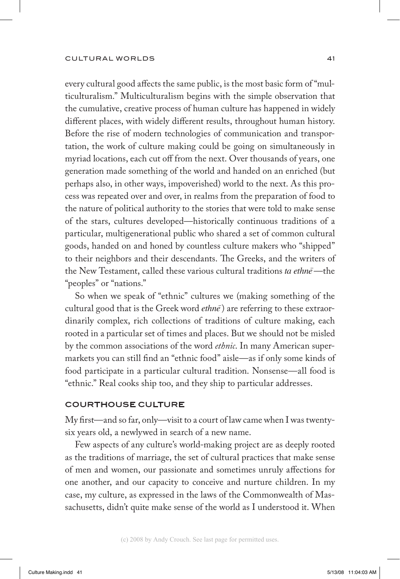every cultural good affects the same public, is the most basic form of "multiculturalism." Multiculturalism begins with the simple observation that the cumulative, creative process of human culture has happened in widely different places, with widely different results, throughout human history. Before the rise of modern technologies of communication and transportation, the work of culture making could be going on simultaneously in myriad locations, each cut off from the next. Over thousands of years, one generation made something of the world and handed on an enriched (but perhaps also, in other ways, impoverished) world to the next. As this process was repeated over and over, in realms from the preparation of food to the nature of political authority to the stories that were told to make sense of the stars, cultures developed—historically continuous traditions of a particular, multigenerational public who shared a set of common cultural goods, handed on and honed by countless culture makers who "shipped" to their neighbors and their descendants. The Greeks, and the writers of the New Testament, called these various cultural traditions *ta ethne*—the "peoples" or "nations."

So when we speak of "ethnic" cultures we (making something of the cultural good that is the Greek word *ethne*) are referring to these extraordinarily complex, rich collections of traditions of culture making, each rooted in a particular set of times and places. But we should not be misled by the common associations of the word *ethnic*. In many American supermarkets you can still find an "ethnic food" aisle—as if only some kinds of food participate in a particular cultural tradition. Nonsense—all food is "ethnic." Real cooks ship too, and they ship to particular addresses.

#### COURTHOUSE CULTURE

My first—and so far, only—visit to a court of law came when I was twentysix years old, a newlywed in search of a new name.

Few aspects of any culture's world-making project are as deeply rooted as the traditions of marriage, the set of cultural practices that make sense of men and women, our passionate and sometimes unruly affections for one another, and our capacity to conceive and nurture children. In my case, my culture, as expressed in the laws of the Commonwealth of Massachusetts, didn't quite make sense of the world as I understood it. When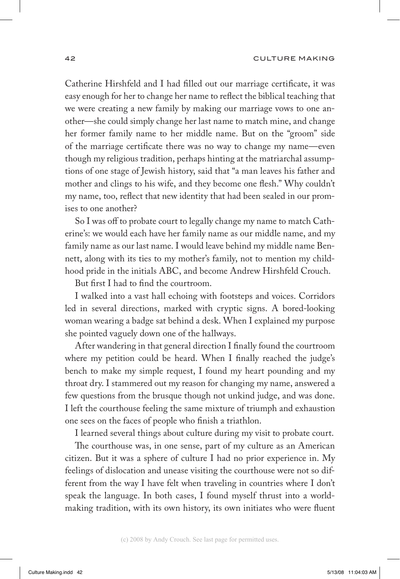Catherine Hirshfeld and I had filled out our marriage certificate, it was easy enough for her to change her name to reflect the biblical teaching that we were creating a new family by making our marriage vows to one another—she could simply change her last name to match mine, and change her former family name to her middle name. But on the "groom" side of the marriage certificate there was no way to change my name—even though my religious tradition, perhaps hinting at the matriarchal assumptions of one stage of Jewish history, said that "a man leaves his father and mother and clings to his wife, and they become one flesh." Why couldn't my name, too, reflect that new identity that had been sealed in our promises to one another?

So I was off to probate court to legally change my name to match Catherine's: we would each have her family name as our middle name, and my family name as our last name. I would leave behind my middle name Bennett, along with its ties to my mother's family, not to mention my childhood pride in the initials ABC, and become Andrew Hirshfeld Crouch.

But first I had to find the courtroom.

I walked into a vast hall echoing with footsteps and voices. Corridors led in several directions, marked with cryptic signs. A bored-looking woman wearing a badge sat behind a desk. When I explained my purpose she pointed vaguely down one of the hallways.

After wandering in that general direction I finally found the courtroom where my petition could be heard. When I finally reached the judge's bench to make my simple request, I found my heart pounding and my throat dry. I stammered out my reason for changing my name, answered a few questions from the brusque though not unkind judge, and was done. I left the courthouse feeling the same mixture of triumph and exhaustion one sees on the faces of people who finish a triathlon.

I learned several things about culture during my visit to probate court.

The courthouse was, in one sense, part of my culture as an American citizen. But it was a sphere of culture I had no prior experience in. My feelings of dislocation and unease visiting the courthouse were not so different from the way I have felt when traveling in countries where I don't speak the language. In both cases, I found myself thrust into a worldmaking tradition, with its own history, its own initiates who were fluent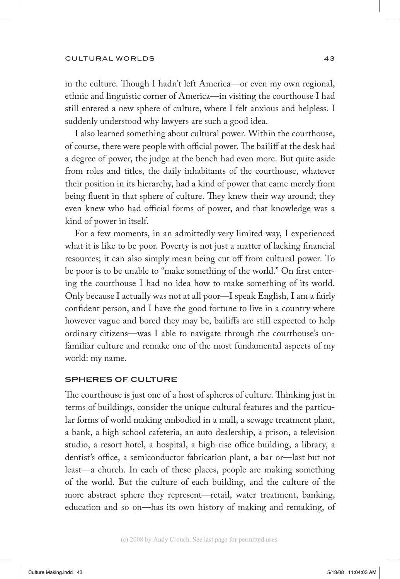in the culture. Though I hadn't left America—or even my own regional, ethnic and linguistic corner of America—in visiting the courthouse I had still entered a new sphere of culture, where I felt anxious and helpless. I suddenly understood why lawyers are such a good idea.

I also learned something about cultural power. Within the courthouse, of course, there were people with official power. The bailiff at the desk had a degree of power, the judge at the bench had even more. But quite aside from roles and titles, the daily inhabitants of the courthouse, whatever their position in its hierarchy, had a kind of power that came merely from being fluent in that sphere of culture. They knew their way around; they even knew who had official forms of power, and that knowledge was a kind of power in itself.

For a few moments, in an admittedly very limited way, I experienced what it is like to be poor. Poverty is not just a matter of lacking financial resources; it can also simply mean being cut off from cultural power. To be poor is to be unable to "make something of the world." On first entering the courthouse I had no idea how to make something of its world. Only because I actually was not at all poor—I speak English, I am a fairly confident person, and I have the good fortune to live in a country where however vague and bored they may be, bailiffs are still expected to help ordinary citizens—was I able to navigate through the courthouse's unfamiliar culture and remake one of the most fundamental aspects of my world: my name.

#### SPHERES OF CULTURE

The courthouse is just one of a host of spheres of culture. Thinking just in terms of buildings, consider the unique cultural features and the particular forms of world making embodied in a mall, a sewage treatment plant, a bank, a high school cafeteria, an auto dealership, a prison, a television studio, a resort hotel, a hospital, a high-rise office building, a library, a dentist's office, a semiconductor fabrication plant, a bar or—last but not least—a church. In each of these places, people are making something of the world. But the culture of each building, and the culture of the more abstract sphere they represent—retail, water treatment, banking, education and so on—has its own history of making and remaking, of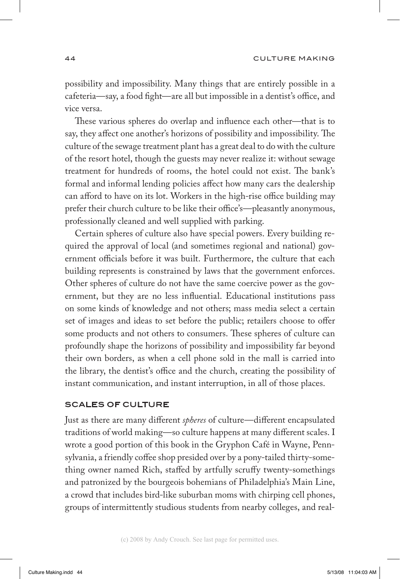possibility and impossibility. Many things that are entirely possible in a cafeteria—say, a food fight—are all but impossible in a dentist's office, and vice versa.

These various spheres do overlap and influence each other—that is to say, they affect one another's horizons of possibility and impossibility. The culture of the sewage treatment plant has a great deal to do with the culture of the resort hotel, though the guests may never realize it: without sewage treatment for hundreds of rooms, the hotel could not exist. The bank's formal and informal lending policies affect how many cars the dealership can afford to have on its lot. Workers in the high-rise office building may prefer their church culture to be like their office's—pleasantly anonymous, professionally cleaned and well supplied with parking.

Certain spheres of culture also have special powers. Every building required the approval of local (and sometimes regional and national) government officials before it was built. Furthermore, the culture that each building represents is constrained by laws that the government enforces. Other spheres of culture do not have the same coercive power as the government, but they are no less influential. Educational institutions pass on some kinds of knowledge and not others; mass media select a certain set of images and ideas to set before the public; retailers choose to offer some products and not others to consumers. These spheres of culture can profoundly shape the horizons of possibility and impossibility far beyond their own borders, as when a cell phone sold in the mall is carried into the library, the dentist's office and the church, creating the possibility of instant communication, and instant interruption, in all of those places.

#### SCALES OF CULTURE

Just as there are many different *spheres* of culture—different encapsulated traditions of world making—so culture happens at many different scales. I wrote a good portion of this book in the Gryphon Café in Wayne, Pennsylvania, a friendly coffee shop presided over by a pony-tailed thirty-something owner named Rich, staffed by artfully scruffy twenty-somethings and patronized by the bourgeois bohemians of Philadelphia's Main Line, a crowd that includes bird-like suburban moms with chirping cell phones, groups of intermittently studious students from nearby colleges, and real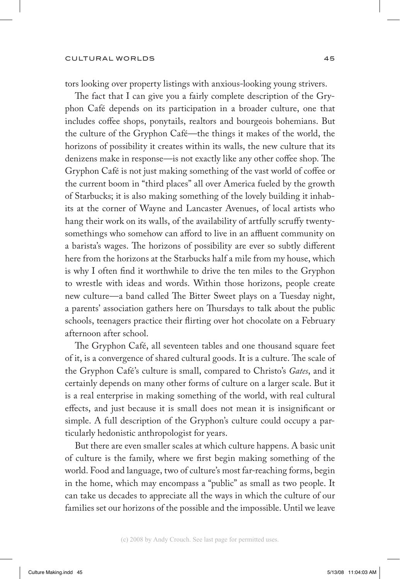tors looking over property listings with anxious-looking young strivers.

The fact that I can give you a fairly complete description of the Gryphon Café depends on its participation in a broader culture, one that includes coffee shops, ponytails, realtors and bourgeois bohemians. But the culture of the Gryphon Café—the things it makes of the world, the horizons of possibility it creates within its walls, the new culture that its denizens make in response—is not exactly like any other coffee shop. The Gryphon Café is not just making something of the vast world of coffee or the current boom in "third places" all over America fueled by the growth of Starbucks; it is also making something of the lovely building it inhabits at the corner of Wayne and Lancaster Avenues, of local artists who hang their work on its walls, of the availability of artfully scruffy twentysomethings who somehow can afford to live in an affluent community on a barista's wages. The horizons of possibility are ever so subtly different here from the horizons at the Starbucks half a mile from my house, which is why I often find it worthwhile to drive the ten miles to the Gryphon to wrestle with ideas and words. Within those horizons, people create new culture—a band called The Bitter Sweet plays on a Tuesday night, a parents' association gathers here on Thursdays to talk about the public schools, teenagers practice their flirting over hot chocolate on a February afternoon after school.

The Gryphon Café, all seventeen tables and one thousand square feet of it, is a convergence of shared cultural goods. It is a culture. The scale of the Gryphon Café's culture is small, compared to Christo's *Gates*, and it certainly depends on many other forms of culture on a larger scale. But it is a real enterprise in making something of the world, with real cultural effects, and just because it is small does not mean it is insignificant or simple. A full description of the Gryphon's culture could occupy a particularly hedonistic anthropologist for years.

But there are even smaller scales at which culture happens. A basic unit of culture is the family, where we first begin making something of the world. Food and language, two of culture's most far-reaching forms, begin in the home, which may encompass a "public" as small as two people. It can take us decades to appreciate all the ways in which the culture of our families set our horizons of the possible and the impossible. Until we leave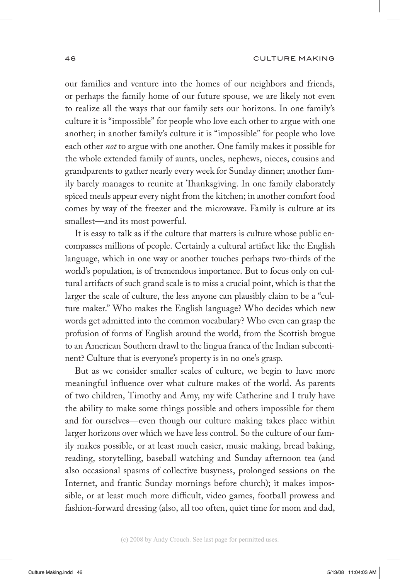our families and venture into the homes of our neighbors and friends, or perhaps the family home of our future spouse, we are likely not even to realize all the ways that our family sets our horizons. In one family's culture it is "impossible" for people who love each other to argue with one another; in another family's culture it is "impossible" for people who love each other *not* to argue with one another. One family makes it possible for the whole extended family of aunts, uncles, nephews, nieces, cousins and grandparents to gather nearly every week for Sunday dinner; another family barely manages to reunite at Thanksgiving. In one family elaborately spiced meals appear every night from the kitchen; in another comfort food comes by way of the freezer and the microwave. Family is culture at its smallest—and its most powerful.

It is easy to talk as if the culture that matters is culture whose public encompasses millions of people. Certainly a cultural artifact like the English language, which in one way or another touches perhaps two-thirds of the world's population, is of tremendous importance. But to focus only on cultural artifacts of such grand scale is to miss a crucial point, which is that the larger the scale of culture, the less anyone can plausibly claim to be a "culture maker." Who makes the English language? Who decides which new words get admitted into the common vocabulary? Who even can grasp the profusion of forms of English around the world, from the Scottish brogue to an American Southern drawl to the lingua franca of the Indian subcontinent? Culture that is everyone's property is in no one's grasp.

But as we consider smaller scales of culture, we begin to have more meaningful influence over what culture makes of the world. As parents of two children, Timothy and Amy, my wife Catherine and I truly have the ability to make some things possible and others impossible for them and for ourselves—even though our culture making takes place within larger horizons over which we have less control. So the culture of our family makes possible, or at least much easier, music making, bread baking, reading, storytelling, baseball watching and Sunday afternoon tea (and also occasional spasms of collective busyness, prolonged sessions on the Internet, and frantic Sunday mornings before church); it makes impossible, or at least much more difficult, video games, football prowess and fashion-forward dressing (also, all too often, quiet time for mom and dad,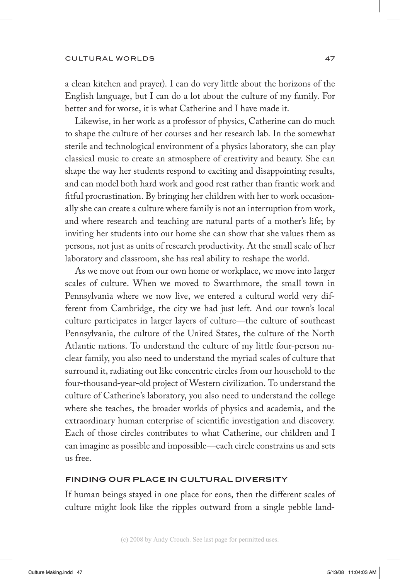a clean kitchen and prayer). I can do very little about the horizons of the English language, but I can do a lot about the culture of my family. For better and for worse, it is what Catherine and I have made it.

Likewise, in her work as a professor of physics, Catherine can do much to shape the culture of her courses and her research lab. In the somewhat sterile and technological environment of a physics laboratory, she can play classical music to create an atmosphere of creativity and beauty. She can shape the way her students respond to exciting and disappointing results, and can model both hard work and good rest rather than frantic work and fitful procrastination. By bringing her children with her to work occasionally she can create a culture where family is not an interruption from work, and where research and teaching are natural parts of a mother's life; by inviting her students into our home she can show that she values them as persons, not just as units of research productivity. At the small scale of her laboratory and classroom, she has real ability to reshape the world.

As we move out from our own home or workplace, we move into larger scales of culture. When we moved to Swarthmore, the small town in Pennsylvania where we now live, we entered a cultural world very different from Cambridge, the city we had just left. And our town's local culture participates in larger layers of culture—the culture of southeast Pennsylvania, the culture of the United States, the culture of the North Atlantic nations. To understand the culture of my little four-person nuclear family, you also need to understand the myriad scales of culture that surround it, radiating out like concentric circles from our household to the four-thousand-year-old project of Western civilization. To understand the culture of Catherine's laboratory, you also need to understand the college where she teaches, the broader worlds of physics and academia, and the extraordinary human enterprise of scientific investigation and discovery. Each of those circles contributes to what Catherine, our children and I can imagine as possible and impossible—each circle constrains us and sets us free.

#### FINDING OUR PLACE IN CULTURAL DIVERSITY

If human beings stayed in one place for eons, then the different scales of culture might look like the ripples outward from a single pebble land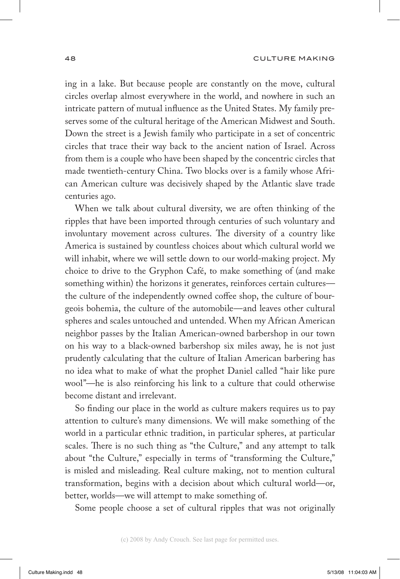ing in a lake. But because people are constantly on the move, cultural circles overlap almost everywhere in the world, and nowhere in such an intricate pattern of mutual influence as the United States. My family preserves some of the cultural heritage of the American Midwest and South. Down the street is a Jewish family who participate in a set of concentric circles that trace their way back to the ancient nation of Israel. Across from them is a couple who have been shaped by the concentric circles that made twentieth-century China. Two blocks over is a family whose African American culture was decisively shaped by the Atlantic slave trade centuries ago.

When we talk about cultural diversity, we are often thinking of the ripples that have been imported through centuries of such voluntary and involuntary movement across cultures. The diversity of a country like America is sustained by countless choices about which cultural world we will inhabit, where we will settle down to our world-making project. My choice to drive to the Gryphon Café, to make something of (and make something within) the horizons it generates, reinforces certain cultures the culture of the independently owned coffee shop, the culture of bourgeois bohemia, the culture of the automobile—and leaves other cultural spheres and scales untouched and untended. When my African American neighbor passes by the Italian American-owned barbershop in our town on his way to a black-owned barbershop six miles away, he is not just prudently calculating that the culture of Italian American barbering has no idea what to make of what the prophet Daniel called "hair like pure wool"—he is also reinforcing his link to a culture that could otherwise become distant and irrelevant.

So finding our place in the world as culture makers requires us to pay attention to culture's many dimensions. We will make something of the world in a particular ethnic tradition, in particular spheres, at particular scales. There is no such thing as "the Culture," and any attempt to talk about "the Culture," especially in terms of "transforming the Culture," is misled and misleading. Real culture making, not to mention cultural transformation, begins with a decision about which cultural world—or, better, worlds—we will attempt to make something of.

Some people choose a set of cultural ripples that was not originally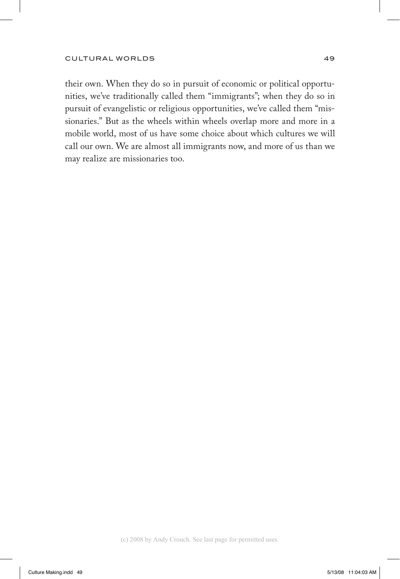their own. When they do so in pursuit of economic or political opportunities, we've traditionally called them "immigrants"; when they do so in pursuit of evangelistic or religious opportunities, we've called them "missionaries." But as the wheels within wheels overlap more and more in a mobile world, most of us have some choice about which cultures we will call our own. We are almost all immigrants now, and more of us than we may realize are missionaries too.